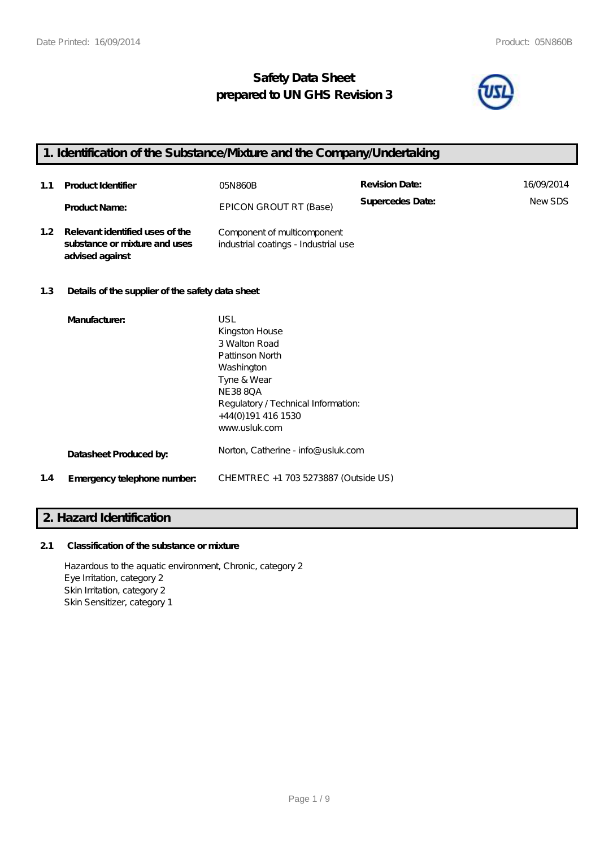## **Safety Data Sheet prepared to UN GHS Revision 3**



## **1. Identification of the Substance/Mixture and the Company/Undertaking 1.1 Product Identifier** 05N860B **Revision Date:** 16/09/2014 **Supercedes Date:** New SDS EPICON GROUT RT (Base) **Supercedes Date:** New SDS **1.2 Relevant identified uses of the substance or mixture and uses advised against** Component of multicomponent industrial coatings - Industrial use **1.3 Details of the supplier of the safety data sheet Manufacturer:** USL Kingston House 3 Walton Road Pattinson North

Regulatory / Technical Information:

|     |                             | www.usluk.com                        |
|-----|-----------------------------|--------------------------------------|
|     | Datasheet Produced by:      | Norton, Catherine - info@ usluk.com  |
| 1.4 | Emergency telephone number. | CHEMTREC +1 703 5273887 (Outside US) |
|     |                             |                                      |

Washington Tyne & Wear NE38 8QA

+44(0)191 416 1530

### **2. Hazard Identification**

### **2.1 Classification of the substance or mixture**

Hazardous to the aquatic environment, Chronic, category 2 Eye Irritation, category 2 Skin Irritation, category 2 Skin Sensitizer, category 1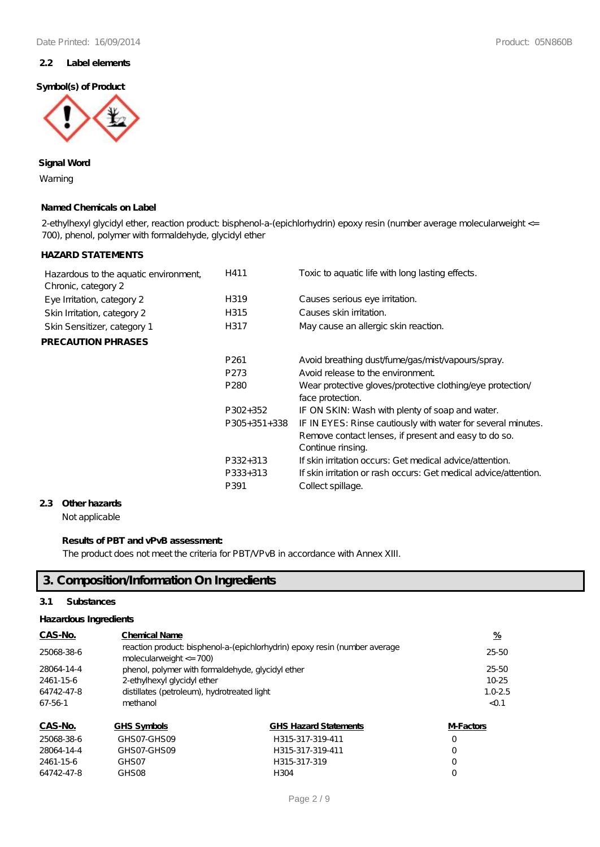### **2.2 Label elements**

### **Symbol(s) of Product**



### **Signal Word**

Warning

### **Named Chemicals on Label**

2-ethylhexyl glycidyl ether, reaction product bisphenol-a-(epichlorhydrin) epoxy resin (number average molecularweight <= 700), phenol, polymer with formaldehyde, glycidyl ether

### **HAZARD STATEMENTS**

| Hazardous to the aquatic environment,<br>Chronic, category 2 | H411             | Toxic to aguatic life with long lasting effects.                                                                                          |
|--------------------------------------------------------------|------------------|-------------------------------------------------------------------------------------------------------------------------------------------|
| Eye Irritation, category 2                                   | H319             | Causes serious eye irritation.                                                                                                            |
| Skin Irritation, category 2                                  | H315             | Causes skin irritation.                                                                                                                   |
| Skin Sensitizer, category 1                                  | H317             | May cause an allergic skin reaction.                                                                                                      |
| <b>PRECAUTION PHRASES</b>                                    |                  |                                                                                                                                           |
|                                                              | P <sub>261</sub> | Avoid breathing dust/fume/gas/mist/vapours/spray.                                                                                         |
|                                                              | P <sub>273</sub> | Avoid release to the environment.                                                                                                         |
|                                                              | P <sub>280</sub> | Wear protective gloves/protective clothing/eye protection/<br>face protection.                                                            |
|                                                              | P302+352         | IF ON SKIN: Wash with plenty of soap and water.                                                                                           |
|                                                              | $P305+351+338$   | IF IN EYES: Rinse cautiously with water for several minutes.<br>Remove contact lenses, if present and easy to do so.<br>Continue rinsing. |
|                                                              | P332+313         | If skin irritation occurs: Get medical advice attention.                                                                                  |
|                                                              | P333+313         | If skin irritation or rash occurs: Get medical advice attention.                                                                          |
|                                                              | P391             | Collect spillage.                                                                                                                         |
|                                                              |                  |                                                                                                                                           |

### **2.3 Other hazards**

Not applicable

### **Results of PBT and vPvB assessment:**

The product does not meet the criteria for PBT/VPvB in accordance with Annex XIII.

## **3. Composition/Information On Ingredients**

### **3.1 Substances**

#### **Hazardous Ingredients**

| CAS-No.    | <b>Chemical Name</b>                                                                                     |                              |                  |
|------------|----------------------------------------------------------------------------------------------------------|------------------------------|------------------|
| 25068-38-6 | reaction product bisphenol-a-(epichlorhydrin) epoxy resin (number average<br>molecularweight $\leq$ 700) |                              |                  |
| 28064-14-4 | phenol, polymer with formaldehyde, glycidyl ether                                                        |                              |                  |
| 2461-15-6  | 2-ethylhexyl glycidyl ether                                                                              |                              |                  |
| 64742-47-8 | distillates (petroleum), hydrotreated light                                                              | $1.0 - 2.5$                  |                  |
| 67-56-1    | methanol                                                                                                 | < 0.1                        |                  |
| CAS-No.    | <b>GHS Symbols</b>                                                                                       | <b>GHS Hazard Statements</b> | <b>M-Factors</b> |
| 25068-38-6 | GHSO7_GHSOQ                                                                                              | H 315-317-310-411            | $\left( \right)$ |

| 25068-38-6 | GHSO7-GHSO9 | H315-317-319-411 |          |
|------------|-------------|------------------|----------|
| 28064-14-4 | GHSO7-GHSO9 | H315-317-319-411 | $\Omega$ |
| 2461-15-6  | GHS 07      | H315-317-319     | $\Omega$ |
| 64742-47-8 | GHSO8       | H304             |          |
|            |             |                  |          |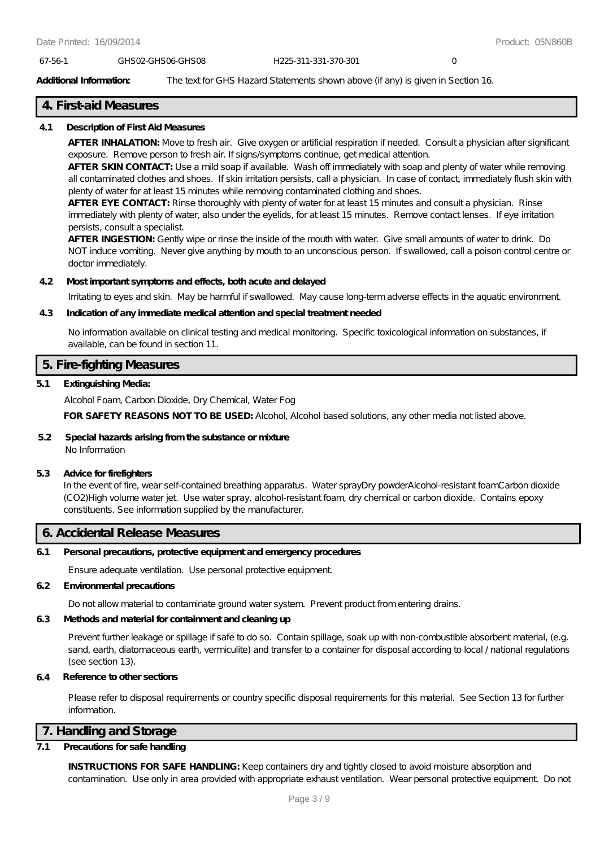#### 67-56-1 GHS02-GHS06-GHS08 H225-311-331-370-301 0

#### **Additional Information:** The text for GHS Hazard Statements shown above (if any) is given in Section 16.

### **4. First-aid Measures**

#### **4.1 Description of First Aid Measures**

**AFTER INHALATION:** Move to fresh air. Give oxygen or artificial respiration if needed. Consult a physician after significant exposure. Remove person to fresh air. If signs/symptoms continue, get medical attention.

**AFTER SKIN CONTACT:** Use a mild soap if available. Wash off immediately with soap and plenty of water while removing all contaminated clothes and shoes. If skin irritation persists, call a physician. In case of contact, immediately flush skin with plenty of water for at least 15 minutes while removing contaminated clothing and shoes.

**AFTER EYE CONTACT:** Rinse thoroughly with plenty of water for at least 15 minutes and consult a physician. Rinse immediately with plenty of water, also under the eyelids, for at least 15 minutes. Remove contact lenses. If eye irritation persists, consult a specialist.

**AFTER INGESTION:** Gently wipe or rinse the inside of the mouth with water. Give small amounts of water to drink. Do NOT induce vomiting. Never give anything by mouth to an unconscious person. If swallowed, call a poison control centre or doctor immediately.

#### **4.2 Most important symptoms and effects, both acute and delayed**

Irritating to eyes and skin. May be harmful if swallowed. May cause long-term adverse effects in the aquatic environment.

#### **4.3 Indication of any immediate medical attention and special treatment needed**

No information available on clinical testing and medical monitoring. Specific toxicological information on substances, if available, can be found in section 11.

### **5. Fire-fighting Measures**

#### **5.1 Extinguishing Media:**

Alcohol Foam, Carbon Dioxide, Dry Chemical, Water Fog

FOR SAFETY REASONS NOT TO BE USED: Alcohol, Alcohol based solutions, any other media not listed above.

#### **5.2 Special hazards arising from the substance or mixture** No Information

#### **5.3 Advice for firefighters**

In the event of fire, wear self-contained breathing apparatus. Water sprayDry powderAlcohol-resistant foamCarbon dioxide (CO2)High volume water jet. Use water spray, alcohol-resistant foam, dry chemical or carbon dioxide. Contains epoxy constituents. See information supplied by the manufacturer.

### **6. Accidental Release Measures**

#### **6.1 Personal precautions, protective equipment and emergency procedures**

Ensure adequate ventilation. Use personal protective equipment.

#### **6.2 Environmental precautions**

Do not allow material to contaminate ground water system. Prevent product from entering drains.

### **6.3 Methods and material for containment and cleaning up**

Prevent further leakage or spillage if safe to do so. Contain spillage, soak up with non-combustible absorbent material, (e.g. sand, earth, diatomaceous earth, vermiculite) and transfer to a container for disposal according to local / national regulations (see section 13).

### **6.4 Reference to other sections**

Please refer to disposal requirements or country specific disposal requirements for this material. See Section 13 for further information.

### **7. Handling and Storage**

### **7.1 Precautions for safe handling**

**INSTRUCTIONS FOR SAFE HANDLING:** Keep containers dry and tightly closed to avoid moisture absorption and contamination. Use only in area provided with appropriate exhaust ventilation. Wear personal protective equipment. Do not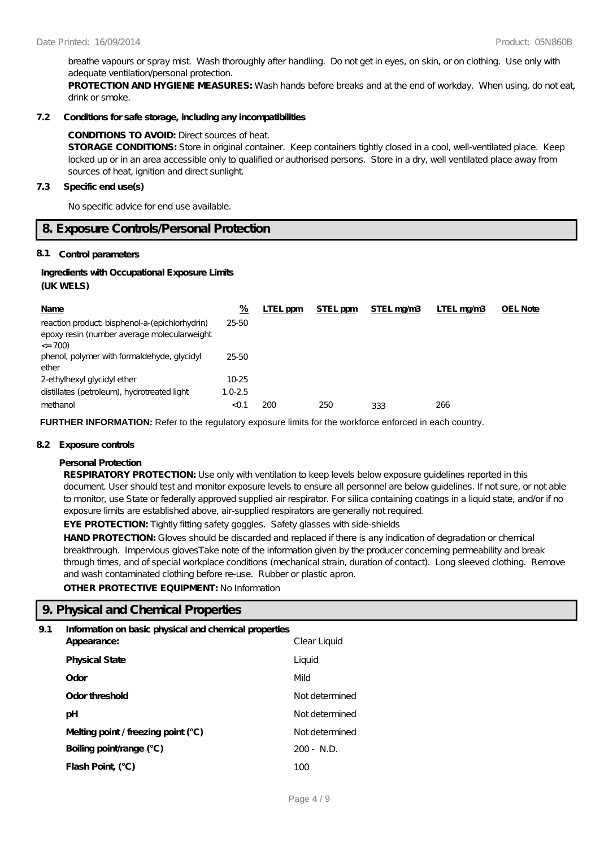breathe vapours or spray mist. Wash thoroughly after handling. Do not get in eyes, on skin, or on clothing. Use only with adequate ventilation/personal protection.

**PROTECTION AND HYGIENE MEASURES:** Wash hands before breaks and at the end of workday. When using, do not eat, drink or smoke.

#### **7.2 Conditions for safe storage, including any incompatibilities**

### **CONDITIONS TO AVOID:** Direct sources of heat.

**STORAGE CONDITIONS:** Store in original container. Keep containers tightly closed in a cool, well-ventilated place. Keep locked up or in an area accessible only to qualified or authorised persons. Store in a dry, well ventilated place away from sources of heat, ignition and direct sunlight.

#### **7.3 Specific end use(s)**

No specific advice for end use available.

### **8. Exposure Controls/Personal Protection**

#### **8.1 Control parameters**

#### **Ingredients with Occupational Exposure Limits (UK WELS)**

| Name                                                                                                         | %           | LTEL ppm | STEL ppm | STEL mg/m3 | LTEL ma/m3 | <b>OEL Note</b> |
|--------------------------------------------------------------------------------------------------------------|-------------|----------|----------|------------|------------|-----------------|
| reaction product bisphenol-a-(epichlorhydrin)<br>epoxy resin (number average molecular weight<br>$\leq$ 700) | 25-50       |          |          |            |            |                 |
| phenol, polymer with formaldehyde, glycidyl<br>ether                                                         | $25 - 50$   |          |          |            |            |                 |
| 2-ethylhexyl glycidyl ether                                                                                  | $10-25$     |          |          |            |            |                 |
| distillates (petroleum), hydrotreated light                                                                  | $1.0 - 2.5$ |          |          |            |            |                 |
| methanol                                                                                                     | $<$ 0.1     | 200      | 250      | 333        | 266        |                 |

**FURTHER INFORMATION:** Refer to the regulatory exposure limits for the workforce enforced in each country.

#### **8.2 Exposure controls**

#### **Personal Protection**

**RESPIRATORY PROTECTION:** Use only with ventilation to keep levels below exposure guidelines reported in this document. User should test and monitor exposure levels to ensure all personnel are below guidelines. If not sure, or not able to monitor, use State or federally approved supplied air respirator. For silica containing coatings in a liquid state, and/or if no exposure limits are established above, air-supplied respirators are generally not required.

**EYE PROTECTION:** Tightly fitting safety goggles. Safety glasses with side-shields

HAND PROTECTION: Gloves should be discarded and replaced if there is any indication of degradation or chemical breakthrough. Impervious glovesTake note of the information given by the producer concerning permeability and break through times, and of special workplace conditions (mechanical strain, duration of contact). Long sleeved clothing. Remove and wash contaminated clothing before re-use. Rubber or plastic apron.

**OTHER PROTECTIVE EQUIPMENT:** No Information

### **9. Physical and Chemical Properties**

### **9.1 Information on basic physical and chemical properties**

| Appearance:                           | Clear Liquid    |
|---------------------------------------|-----------------|
| <b>Physical State</b>                 | Liquid          |
| Odor                                  | Mild            |
| Odor threshold                        | Not determined  |
| рH                                    | Not determined  |
| Melting point / freezing point $(°C)$ | Not de termined |
| Boiling point/range (°C)              | $200 - N.D.$    |
| Flash Point (°C)                      | 100             |
|                                       |                 |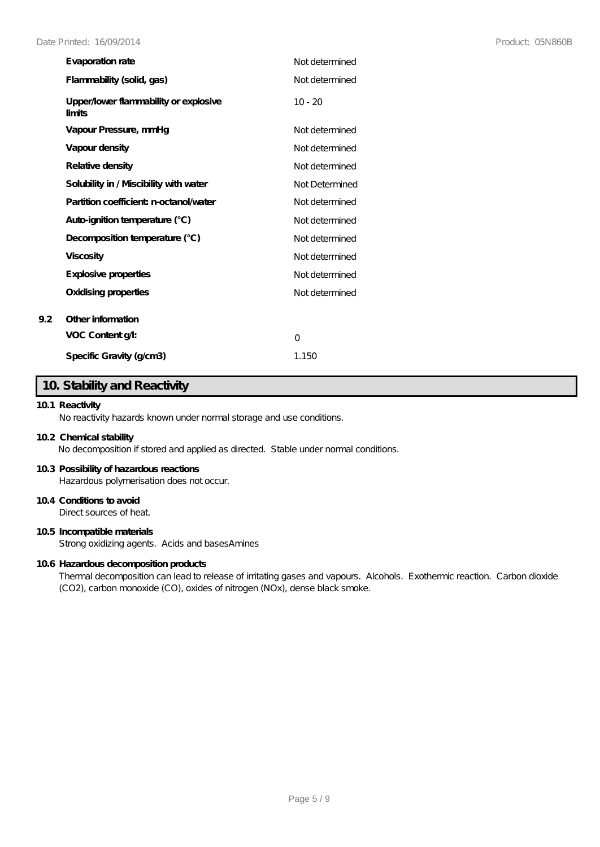| Evaporation rate                                | Not de termined |
|-------------------------------------------------|-----------------|
| Flammability (solid, gas)                       | Not de termined |
| Upper/lower flammability or explosive<br>limits | $10 - 20$       |
| Vapour Pressure, mmHq                           | Not determined  |
| Vapour density                                  | Not de termined |
| Relative density                                | Not de termined |
| Solubility in / Miscibility with water          | Not Determined  |
| Partition coefficient n-octanol/water           | Not determined  |
| Auto-ignition temperature (°C)                  | Not determined  |
| Decomposition temperature (°C)                  | Not de termined |
| <b>Viscosity</b>                                | Not de termined |
| Explosive properties                            | Not de termined |
| Oxidising properties                            | Not determined  |
| Other information                               |                 |
| VOC Content g/l:                                | O               |
| Specific Gravity (g/cm3)                        | 1.150           |

### **10. Stability and Reactivity**

### **10.1 Reactivity**

**9.2 Other information**

No reactivity hazards known under normal storage and use conditions.

#### **10.2 Chemical stability**

No decomposition if stored and applied as directed. Stable under normal conditions.

#### **10.3 Possibility of hazardous reactions**

Hazardous polymerisation does not occur.

### **10.4 Conditions to avoid**

Direct sources of heat.

### **10.5 Incompatible materials**

Strong oxidizing agents. Acids and basesAmines

#### **10.6 Hazardous decomposition products**

Thermal decomposition can lead to release of irritating gases and vapours. Alcohols. Exothermic reaction. Carbon dioxide (CO2), carbon monoxide (CO), oxides of nitrogen (NOx), dense black smoke.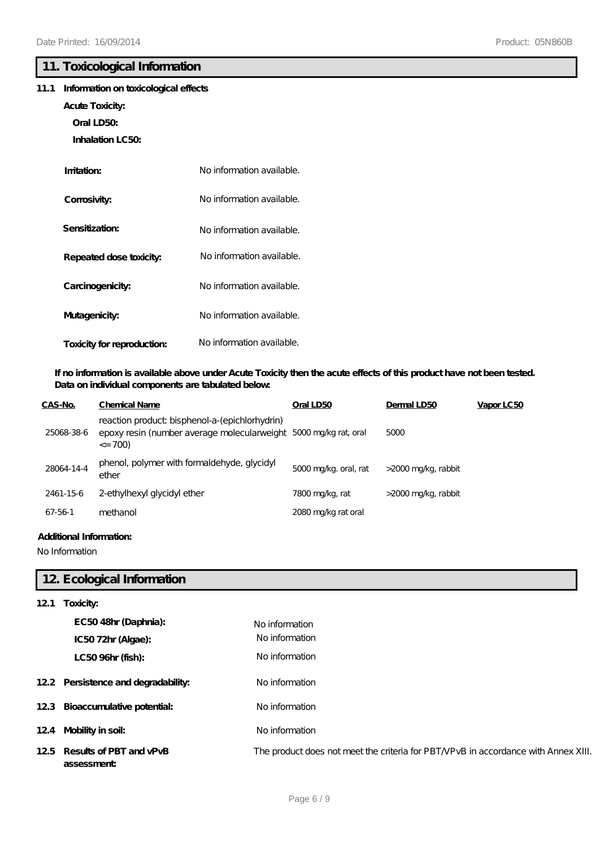### **11. Toxicological Information**

### **11.1 Information on toxicological effects**

- **Acute Toxicity:**
	- **Oral LD50:**
	- **Inhalation LC50:**

| Imitation:                 | No information available. |
|----------------------------|---------------------------|
| Corrosivity:               | No information available. |
| Sensitization:             | No information available. |
| Repeated dose toxicity:    | No information available. |
| Carcinogenicity:           | No information available. |
| Mutagenicity:              | No information available. |
| Toxicity for reproduction: | No information available. |

### **If no information is available above under Acute Toxicity then the acute effects of this product have not been tested. Data on individual components are tabulated below:**

| CAS-No.    | <b>Chemical Name</b>                                                                                                             | Oral LD50             | Dermal LD50         | Vapor LC50 |
|------------|----------------------------------------------------------------------------------------------------------------------------------|-----------------------|---------------------|------------|
| 25068-38-6 | reaction product bisphenol-a-(epichlorhydrin)<br>epoxy resin (number average molecularweight 5000 mg/kg rat, oral<br>$\leq$ 700) |                       | 5000                |            |
| 28064-14-4 | phenol, polymer with formaldehyde, glycidyl<br>ether                                                                             | 5000 mg/kg. oral, rat | >2000 mg/kg, rabbit |            |
| 2461-15-6  | 2-ethylhexyl glycidyl ether                                                                                                      | 7800 mg/kg, rat       | >2000 mg/kg, rabbit |            |
| 67-56-1    | methanol                                                                                                                         | 2080 mg/kg rat oral   |                     |            |

### **Additional Information:**

No Information

## **12. Ecological Information**

| 121 | Toxicity:                                 |                                                                                    |
|-----|-------------------------------------------|------------------------------------------------------------------------------------|
|     | EC5048hr (Daphnia):                       | No information                                                                     |
|     | IC5072hr (Algae):                         | No information                                                                     |
|     | LC50 96hr (fish):                         | No information                                                                     |
|     | 12.2 Persistence and degradability:       | No information                                                                     |
|     | 12.3 Bioaccumulative potential:           | No information                                                                     |
|     | 12.4 Mobility in soil:                    | No information                                                                     |
|     | 125 Results of PBT and vPvB<br>assessment | The product does not meet the criteria for PBT/VPvB in accordance with Annex XIII. |
|     |                                           |                                                                                    |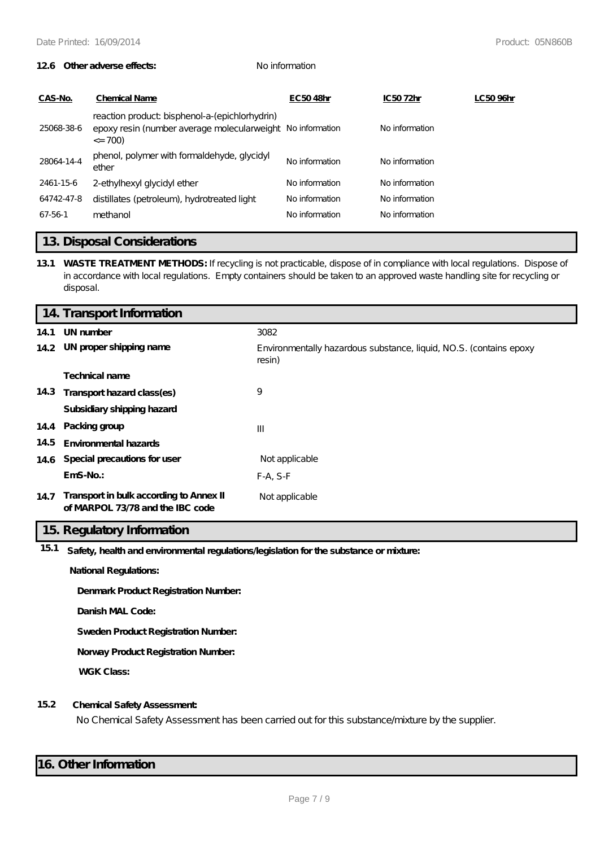#### **12.6 Other adverse effects:** No information

| CAS-No.    | <b>Chemical Name</b>                                                                                                       | EC5048hr       | IC5072hr       | LC5096hr |
|------------|----------------------------------------------------------------------------------------------------------------------------|----------------|----------------|----------|
| 25068-38-6 | reaction product bisphenol-a-(epichlorhydrin)<br>epoxy resin (number average molecularweight No information<br>$\leq$ 700) |                | No information |          |
| 28064-14-4 | phenol, polymer with formaldehyde, glycidyl<br>ether                                                                       | No information | No information |          |
| 2461-15-6  | 2-ethylhexyl glycidyl ether                                                                                                | No information | No information |          |
| 64742-47-8 | distillates (petroleum), hydrotreated light                                                                                | No information | No information |          |
| 67-56-1    | methanol                                                                                                                   | No information | No information |          |
|            |                                                                                                                            |                |                |          |

### **13. Disposal Considerations**

**13.1 WASTE TREATMENT METHODS:** If recycling is not practicable, dispose of in compliance with local regulations. Dispose of in accordance with local regulations. Empty containers should be taken to an approved waste handling site for recycling or disposal.

|      | 14. Transport Information                                                   |                                                                              |
|------|-----------------------------------------------------------------------------|------------------------------------------------------------------------------|
| 14.1 | UN number                                                                   | 3082                                                                         |
|      | 14.2 UN proper shipping name                                                | Environmentally hazardous substance, liquid, NO.S. (contains epoxy<br>resin) |
|      | Technical name                                                              |                                                                              |
|      | 14.3 Transport hazard class(es)                                             | 9                                                                            |
|      | Subsidiary shipping hazard                                                  |                                                                              |
|      | 14.4 Packing group                                                          | $\mathbf{III}$                                                               |
| 14.5 | Environmental hazards                                                       |                                                                              |
|      | 14.6 Special precautions for user                                           | Not applicable                                                               |
|      | $EmS-No.$                                                                   | $F-A, S-F$                                                                   |
| 14.7 | Transport in bulk according to Annex II<br>of MARPOL 73/78 and the IBC code | Not applicable                                                               |

### **15. Regulatory Information**

**15.1 Safety, health and environmental regulations/legislation for the substance or mixture:**

**National Regulations:**

**Denmark Product Registration Number:**

**Danish MAL Code:**

**Sweden Product Registration Number:**

**Norway Product Registration Number:**

**WGK Class:**

#### **15.2 Chemical Safety Assessment:**

No Chemical Safety Assessment has been carried out for this substance/mixture by the supplier.

### **16. Other Information**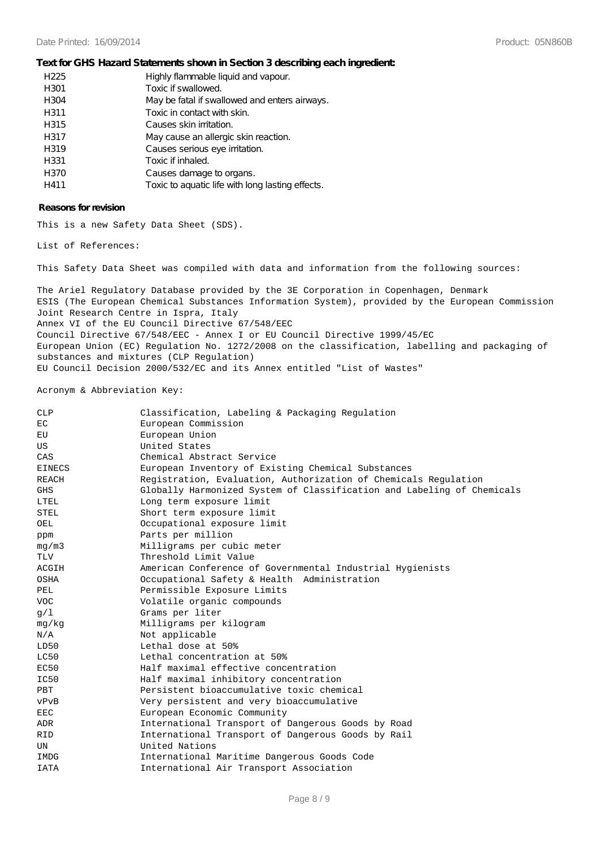#### **Text for GHS Hazard Statements shown in Section 3 describing each ingredient:**

| H <sub>225</sub> | Highly flammable liquid and vapour.              |
|------------------|--------------------------------------------------|
| H301             | Toxic if swallowed.                              |
| H304             | May be fatal if swallowed and enters airways.    |
| H311             | Toxic in contact with skin.                      |
| H315             | Causes skin irritation.                          |
| H317             | May cause an allergic skin reaction.             |
| H319             | Causes serious eye irritation.                   |
| H331             | Toxic if inhaled.                                |
| H370             | Causes damage to organs.                         |
| H411             | Toxic to aquatic life with long lasting effects. |

#### **Reasons for revision**

This is a new Safety Data Sheet (SDS).

List of References:

This Safety Data Sheet was compiled with data and information from the following sources:

The Ariel Regulatory Database provided by the 3E Corporation in Copenhagen, Denmark ESIS (The European Chemical Substances Information System), provided by the European Commission Joint Research Centre in Ispra, Italy Annex VI of the EU Council Directive 67/548/EEC Council Directive 67/548/EEC - Annex I or EU Council Directive 1999/45/EC European Union (EC) Regulation No. 1272/2008 on the classification, labelling and packaging of substances and mixtures (CLP Regulation) EU Council Decision 2000/532/EC and its Annex entitled "List of Wastes"

#### Acronym & Abbreviation Key:

| <b>CLP</b>    | Classification, Labeling & Packaging Regulation                        |
|---------------|------------------------------------------------------------------------|
| EC            | European Commission                                                    |
| ЕU            | European Union                                                         |
| US            | United States                                                          |
| CAS           | Chemical Abstract Service                                              |
| <b>EINECS</b> | European Inventory of Existing Chemical Substances                     |
| <b>REACH</b>  | Registration, Evaluation, Authorization of Chemicals Regulation        |
| <b>GHS</b>    | Globally Harmonized System of Classification and Labeling of Chemicals |
| LTEL          | Long term exposure limit                                               |
| STEL          | Short term exposure limit                                              |
| OEL           | Occupational exposure limit                                            |
| ppm           | Parts per million                                                      |
| mq/m3         | Milligrams per cubic meter                                             |
| <b>TLV</b>    | Threshold Limit Value                                                  |
| ACGIH         | American Conference of Governmental Industrial Hygienists              |
| OSHA          | Occupational Safety & Health Administration                            |
| PEL           | Permissible Exposure Limits                                            |
| <b>VOC</b>    | Volatile organic compounds                                             |
| q/1           | Grams per liter                                                        |
| mg/kg         | Milligrams per kilogram                                                |
| N/A           | Not applicable                                                         |
| LD50          | Lethal dose at 50%                                                     |
| LC50          | Lethal concentration at 50%                                            |
| EC50          | Half maximal effective concentration                                   |
| IC50          | Half maximal inhibitory concentration                                  |
| <b>PBT</b>    | Persistent bioaccumulative toxic chemical                              |
| vPvB          | Very persistent and very bioaccumulative                               |
| <b>EEC</b>    | European Economic Community                                            |
| ADR           | International Transport of Dangerous Goods by Road                     |
| <b>RID</b>    | International Transport of Dangerous Goods by Rail                     |
| UN            | United Nations                                                         |
| IMDG          | International Maritime Dangerous Goods Code                            |
| <b>IATA</b>   | International Air Transport Association                                |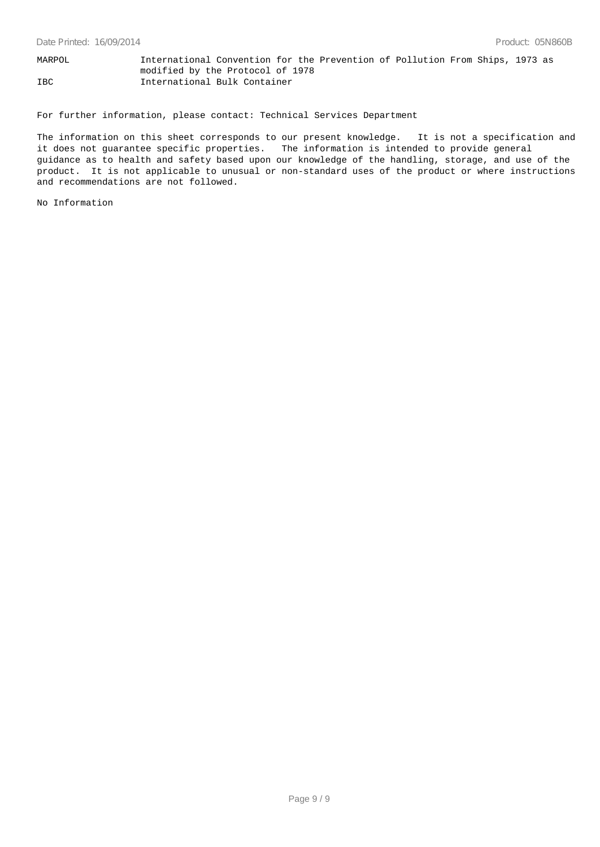MARPOL International Convention for the Prevention of Pollution From Ships, 1973 as modified by the Protocol of 1978 IBC International Bulk Container

For further information, please contact: Technical Services Department

The information on this sheet corresponds to our present knowledge. It is not a specification and it does not guarantee specific properties. The information is intended to provide general guidance as to health and safety based upon our knowledge of the handling, storage, and use of the product. It is not applicable to unusual or non-standard uses of the product or where instructions and recommendations are not followed.

No Information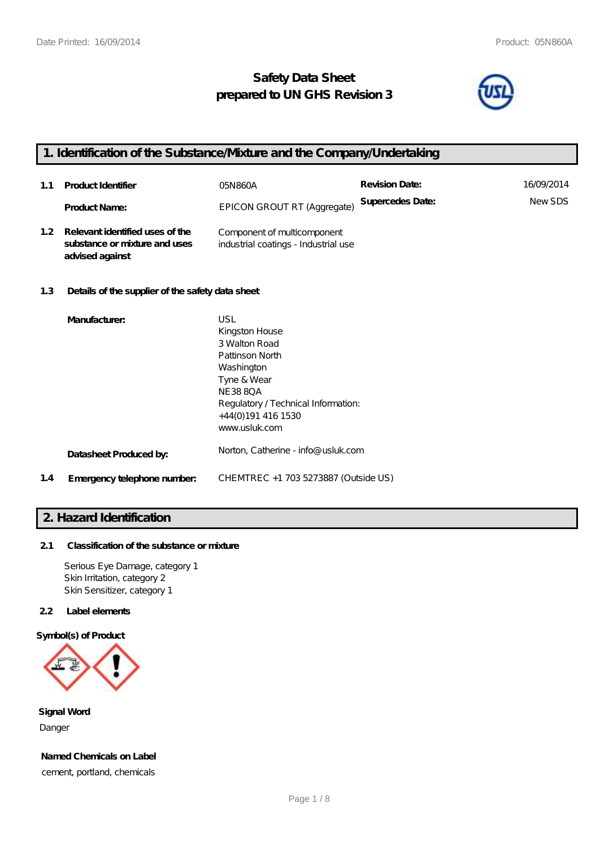## **Safety Data Sheet prepared to UN GHS Revision 3**



## **1. Identification of the Substance/Mixture and the Company/Undertaking**

| 1.1              | <b>Product Identifier</b>                                                           | 05N 860A                                                            | <b>Revision Date:</b> | 16/09/2014    |
|------------------|-------------------------------------------------------------------------------------|---------------------------------------------------------------------|-----------------------|---------------|
|                  | <b>Product Name:</b>                                                                | EPICON GROUT RT (Aggregate)                                         | Supercedes Date:      | <b>NewSDS</b> |
| 1.2 <sub>1</sub> | Relevant identified uses of the<br>substance or mixture and uses<br>advised against | Component of multicomponent<br>industrial coatings - Industrial use |                       |               |

### **1.3 Details of the supplier of the safety data sheet**

|     | Manufacturer:               | USL                                  |
|-----|-----------------------------|--------------------------------------|
|     |                             | Kingston House                       |
|     |                             | 3 Walton Road                        |
|     |                             | Pattinson North                      |
|     |                             | Washington                           |
|     |                             | Tyne & Wear                          |
|     |                             | NE 38 80 A                           |
|     |                             | Regulatory / Technical Information:  |
|     |                             | +44(0)191 416 1530                   |
|     |                             | www.usluk.com                        |
|     | Datasheet Produced by:      | Norton, Catherine - info@ usluk.com  |
| 1.4 | Emergency telephone number. | CHEMTREC +1 703 5273887 (Outside US) |

### **2. Hazard Identification**

### **2.1 Classification of the substance or mixture**

Serious Eye Damage, category 1 Skin Irritation, category 2 Skin Sensitizer, category 1

### **2.2 Label elements**

#### **Symbol(s) of Product**



**Signal Word** Danger

**Named Chemicals on Label**

cement, portland, chemicals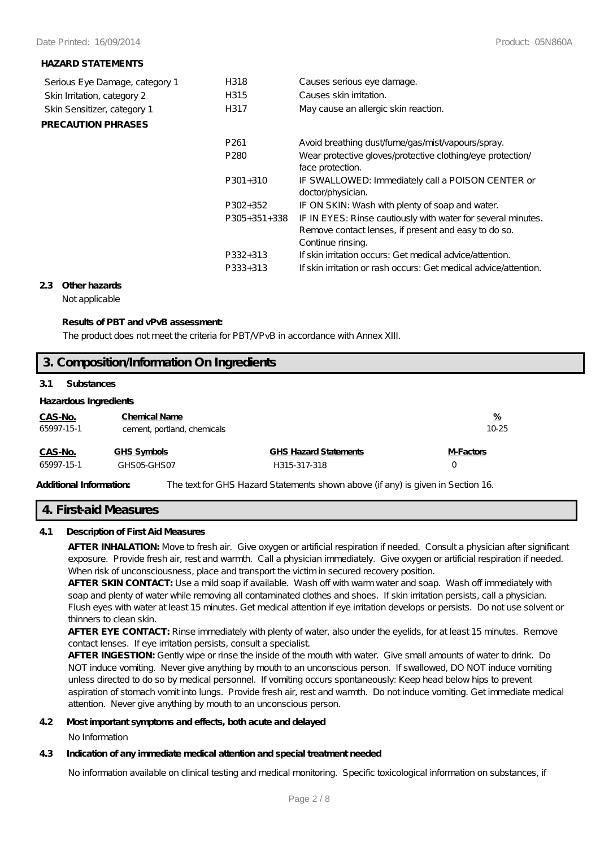#### **HAZARD STATEMENTS**

| Serious Eye Damage, category 1 | H318                 | Causes serious eye damage.                                                                                                                |
|--------------------------------|----------------------|-------------------------------------------------------------------------------------------------------------------------------------------|
| Skin Irritation, category 2    | H315                 | Causes skin irritation.                                                                                                                   |
| Skin Sensitizer, category 1    | H317                 | May cause an allergic skin reaction.                                                                                                      |
| <b>PRECAUTION PHRASES</b>      |                      |                                                                                                                                           |
|                                | P <sub>261</sub>     | Avoid breathing dust/fume/gas/mist/vapours/spray.                                                                                         |
|                                | P <sub>280</sub>     | Wear protective gloves/protective clothing/eye protection/<br>face protection.                                                            |
|                                | $P301+310$           | IF SWALLOWED: Immediately call a POISON CENTER or<br>doctor/physician.                                                                    |
|                                | P302+352             | IF ON SKIN: Wash with plenty of soap and water.                                                                                           |
|                                | $P305+351+338$       | IF IN EYES: Rinse cautiously with water for several minutes.<br>Remove contact lenses, if present and easy to do so.<br>Continue rinsing. |
|                                | P332+313<br>P333+313 | If skin irritation occurs: Get medical advice attention.<br>If skin irritation or rash occurs: Get medical advice attention.              |

### **2.3 Other hazards**

Not applicable

#### **Results of PBT and vPvB assessment:**

The product does not meet the criteria for PBT/VPvB in accordance with Annex XIII.

# **3. Composition/Information On Ingredients**

#### **3.1 Substances**

### **Hazardous Ingredients**

| CAS-No.<br>65997-15-1 | <b>Chemical Name</b><br>cement, portland, chemicals |                              | <u>%</u><br>10-25 |
|-----------------------|-----------------------------------------------------|------------------------------|-------------------|
| CAS-No.               | GHS Symbols                                         | <b>GHS Hazard Statements</b> | <b>M-Factors</b>  |
| 65997-15-1            | GHSO5-GHSO7                                         | H315-317-318                 |                   |
|                       |                                                     |                              |                   |

**Additional Information:** The text for GHS Hazard Statements shown above (if any) is given in Section 16.

#### **4. First-aid Measures**

#### **4.1 Description of First Aid Measures**

**AFTER INHALATION:** Move to fresh air. Give oxygen or artificial respiration if needed. Consult a physician after significant exposure. Provide fresh air, rest and warmth. Call a physician immediately. Give oxygen or artificial respiration if needed. When risk of unconsciousness, place and transport the victim in secured recovery position.

**AFTER SKIN CONTACT:** Use a mild soap if available. Wash off with warm water and soap. Wash off immediately with soap and plenty of water while removing all contaminated clothes and shoes. If skin irritation persists, call a physician. Flush eyes with water at least 15 minutes. Get medical attention if eye irritation develops or persists. Do not use solvent or thinners to clean skin.

**AFTER EYE CONTACT:** Rinse immediately with plenty of water, also under the eyelids, for at least 15 minutes. Remove contact lenses. If eye irritation persists, consult a specialist.

**AFTER INGESTION:** Gently wipe or rinse the inside of the mouth with water. Give small amounts of water to drink. Do NOT induce vomiting. Never give anything by mouth to an unconscious person. If swallowed, DO NOT induce vomiting unless directed to do so by medical personnel. If vomiting occurs spontaneously: Keep head below hips to prevent aspiration of stomach vomit into lungs. Provide fresh air, rest and warmth. Do not induce vomiting. Get immediate medical attention. Never give anything by mouth to an unconscious person.

#### **4.2 Most important symptoms and effects, both acute and delayed**

No Information

### **4.3 Indication of any immediate medical attention and special treatment needed**

No information available on clinical testing and medical monitoring. Specific toxicological information on substances, if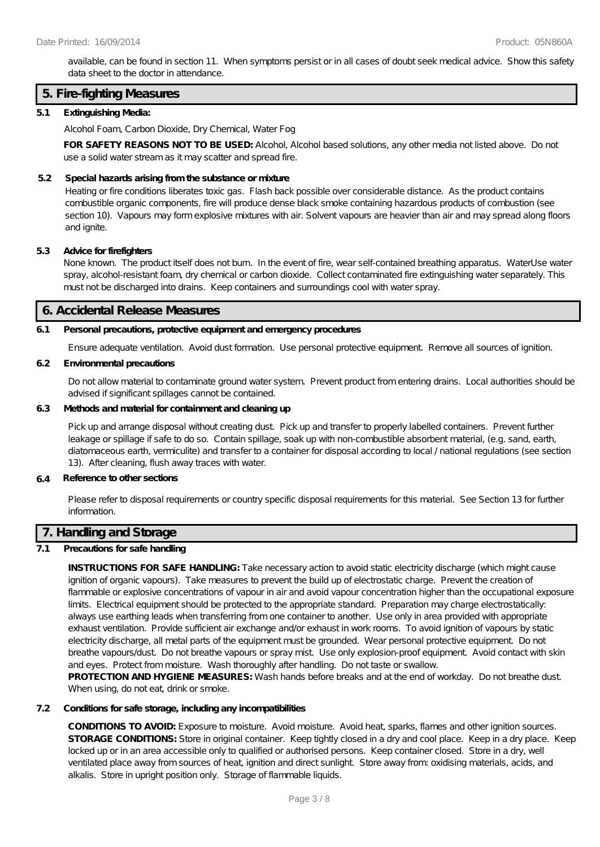available, can be found in section 11. When symptoms persist or in all cases of doubt seek medical advice. Show this safety data sheet to the doctor in attendance.

### **5. Fire-fighting Measures**

#### **5.1 Extinguishing Media:**

Alcohol Foam, Carbon Dioxide, Dry Chemical, Water Fog

**FOR SAFETY REASONS NOT TO BE USED:** Alcohol, Alcohol based solutions, any other media not listed above. Do not use a solid water stream as it may scatter and spread fire.

#### **5.2 Special hazards arising from the substance or mixture**

Heating or fire conditions liberates toxic gas. Flash back possible over considerable distance. As the product contains combustible organic components, fire will produce dense black smoke containing hazardous products of combustion (see section 10). Vapours may form explosive mixtures with air. Solvent vapours are heavier than air and may spread along floors and ignite.

#### **5.3 Advice for firefighters**

None known. The product itself does not burn. In the event of fire, wear self-contained breathing apparatus. WaterUse water spray, alcohol-resistant foam, dry chemical or carbon dioxide. Collect contaminated fire extinguishing water separately. This must not be discharged into drains. Keep containers and surroundings cool with water spray.

#### **6. Accidental Release Measures**

#### **6.1 Personal precautions, protective equipment and emergency procedures**

Ensure adequate ventilation. Avoid dust formation. Use personal protective equipment. Remove all sources of ignition.

#### **6.2 Environmental precautions**

Do not allow material to contaminate ground water system. Prevent product from entering drains. Local authorities should be advised if significant spillages cannot be contained.

### **6.3 Methods and material for containment and cleaning up**

Pick up and arrange disposal without creating dust. Pick up and transfer to properly labelled containers. Prevent further leakage or spillage if safe to do so. Contain spillage, soak up with non-combustible absorbent material, (e.g. sand, earth, diatomaceous earth, vermiculite) and transfer to a container for disposal according to local / national regulations (see section 13). After cleaning, flush away traces with water.

#### **6.4 Reference to other sections**

Please refer to disposal requirements or country specific disposal requirements for this material. See Section 13 for further information.

### **7. Handling and Storage**

### **7.1 Precautions for safe handling**

**INSTRUCTIONS FOR SAFE HANDLING:** Take necessary action to avoid static electricity discharge (which might cause ignition of organic vapours). Take measures to prevent the build up of electrostatic charge. Prevent the creation of flammable or explosive concentrations of vapour in air and avoid vapour concentration higher than the occupational exposure limits. Electrical equipment should be protected to the appropriate standard. Preparation may charge electrostatically: always use earthing leads when transferring from one container to another. Use only in area provided with appropriate exhaust ventilation. Provide sufficient air exchange and/or exhaust in work rooms. To avoid ignition of vapours by static electricity discharge, all metal parts of the equipment must be grounded. Wear personal protective equipment. Do not breathe vapours/dust. Do not breathe vapours or spray mist. Use only explosion-proof equipment. Avoid contact with skin and eyes. Protect from moisture. Wash thoroughly after handling. Do not taste or swallow.

**PROTECTION AND HYGIENE MEASURES:** Wash hands before breaks and at the end of workday. Do not breathe dust. When using, do not eat, drink or smoke.

### **7.2 Conditions for safe storage, including any incompatibilities**

**CONDITIONS TO AVOID:** Exposure to moisture. Avoid moisture. Avoid heat, sparks, flames and other ignition sources. **STORAGE CONDITIONS:** Store in original container. Keep tightly closed in a dry and cool place. Keep in a dry place. Keep locked up or in an area accessible only to qualified or authorised persons. Keep container closed. Store in a dry, well ventilated place away from sources of heat, ignition and direct sunlight. Store away from: oxidising materials, acids, and alkalis. Store in upright position only. Storage of flammable liquids.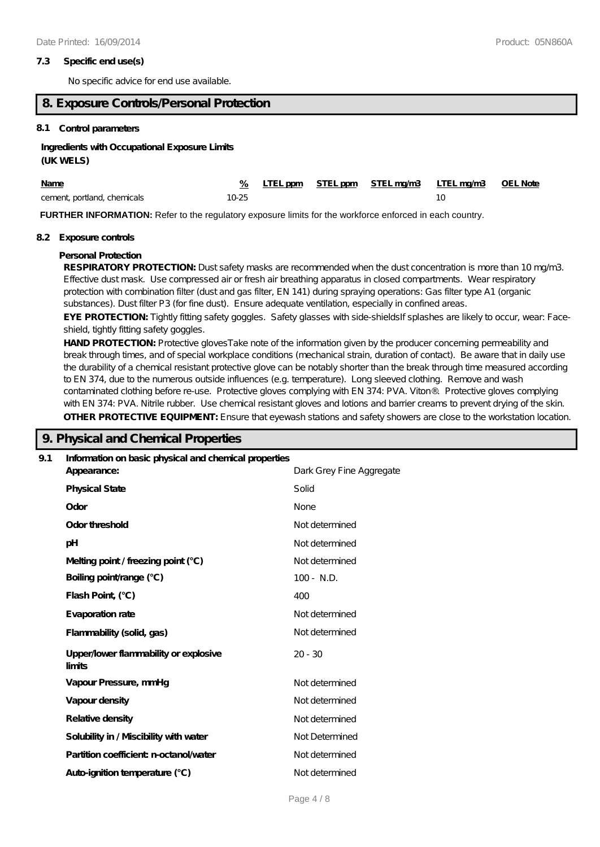#### **7.3 Specific end use(s)**

No specific advice for end use available.

### **8. Exposure Controls/Personal Protection**

#### **8.1 Control parameters**

#### **Ingredients with Occupational Exposure Limits**

#### **(UK WELS)**

| <b>Name</b>                 |           |  | % LTEL ppm STEL ppm STEL ma/m3 LTEL ma/m3 OEL Note |  |
|-----------------------------|-----------|--|----------------------------------------------------|--|
| cement, portland, chemicals | $10 - 25$ |  |                                                    |  |

**FURTHER INFORMATION:** Refer to the regulatory exposure limits for the workforce enforced in each country.

#### **8.2 Exposure controls**

#### **Personal Protection**

RESPIRATORY PROTECTION: Dust safety masks are recommended when the dust concentration is more than 10 mg/m3. Effective dust mask. Use compressed air or fresh air breathing apparatus in closed compartments. Wear respiratory protection with combination filter (dust and gas filter, EN 141) during spraying operations: Gas filter type A1 (organic substances). Dust filter P3 (for fine dust). Ensure adequate ventilation, especially in confined areas.

EYE PROTECTION: Tightly fitting safety goggles. Safety glasses with side-shieldsIf splashes are likely to occur, wear: Faceshield, tightly fitting safety goggles.

**HAND PROTECTION:** Protective glovesTake note of the information given by the producer concerning permeability and break through times, and of special workplace conditions (mechanical strain, duration of contact). Be aware that in daily use the durability of a chemical resistant protective glove can be notably shorter than the break through time measured according to EN 374, due to the numerous outside influences (e.g. temperature). Long sleeved clothing. Remove and wash contaminated clothing before re-use. Protective gloves complying with EN 374: PVA. Viton®. Protective gloves complying with EN 374: PVA. Nitrile rubber. Use chemical resistant gloves and lotions and barrier creams to prevent drying of the skin. **OTHER PROTECTIVE EQUIPMENT:** Ensure that eyewash stations and safety showers are close to the workstation location.

### **9. Physical and Chemical Properties**

| 9.1 | Information on basic physical and chemical properties |                          |
|-----|-------------------------------------------------------|--------------------------|
|     | Appearance:                                           | Dark Grey Fine Aggregate |
|     | <b>Physical State</b>                                 | Solid                    |
|     | Odor                                                  | None                     |
|     | Odor threshold                                        | Not determined           |
|     | pH                                                    | Not determined           |
|     | Melting point / freezing point (°C)                   | Not determined           |
|     | Boiling point/range (°C)                              | $100 - N.D.$             |
|     | Flash Point, (°C)                                     | 400                      |
|     | Evaporation rate                                      | Not determined           |
|     | Flammability (solid, gas)                             | Not determined           |
|     | Upper/lower flammability or explosive<br>limits       | $20 - 30$                |
|     | Vapour Pressure, mmHg                                 | Not determined           |
|     | Vapour density                                        | Not determined           |
|     | Relative density                                      | Not determined           |
|     | Solubility in / Miscibility with water                | Not Determined           |
|     | Partition coefficient n-octanol/water                 | Not determined           |
|     | Auto-ignition temperature (°C)                        | Not determined           |
|     |                                                       |                          |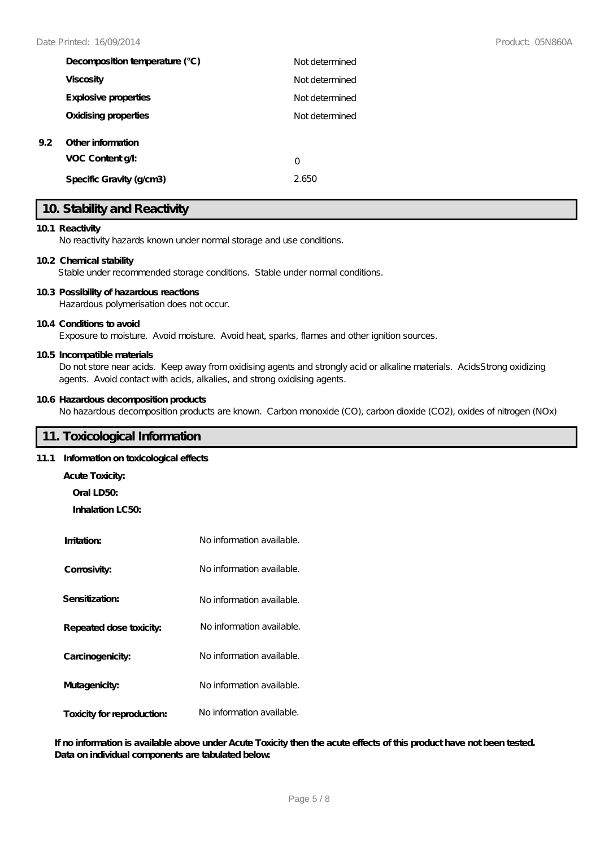| Decomposition temperature (°C)        | Not determined |
|---------------------------------------|----------------|
| <b>Viscosity</b>                      | Not determined |
| Explosive properties                  | Not determined |
| Oxidising properties                  | Not determined |
| Other information<br>VOC Content g/l: |                |
|                                       | 0              |
| Specific Gravity (g/cm3)              | 2.650          |

### **10. Stability and Reactivity**

#### **10.1 Reactivity**

**9.2 Other information**

No reactivity hazards known under normal storage and use conditions.

#### **10.2 Chemical stability**

Stable under recommended storage conditions. Stable under normal conditions.

#### **10.3 Possibility of hazardous reactions**

Hazardous polymerisation does not occur.

#### **10.4 Conditions to avoid**

Exposure to moisture. Avoid moisture. Avoid heat, sparks, flames and other ignition sources.

#### **10.5 Incompatible materials**

Do not store near acids. Keep away from oxidising agents and strongly acid or alkaline materials. AcidsStrong oxidizing agents. Avoid contact with acids, alkalies, and strong oxidising agents.

#### **10.6 Hazardous decomposition products**

No hazardous decomposition products are known. Carbon monoxide (CO), carbon dioxide (CO2), oxides of nitrogen (NOx)

### **11. Toxicological Information**

### **11.1 Information on toxicological effects**

- **Acute Toxicity:**
	- **Oral LD50:**

**Inhalation LC50:**

| Imitation:                 | No information available. |
|----------------------------|---------------------------|
| Corrosivity:               | No information available. |
| Sensitization:             | No information available. |
| Repeated dose toxicity:    | No information available. |
| Carcinogenicity:           | No information available. |
| Mutagenicity:              | No information available. |
| Toxicity for reproduction: | No information available. |

**If no information is available above under Acute Toxicity then the acute effects of this product have not been tested. Data on individual components are tabulated below:**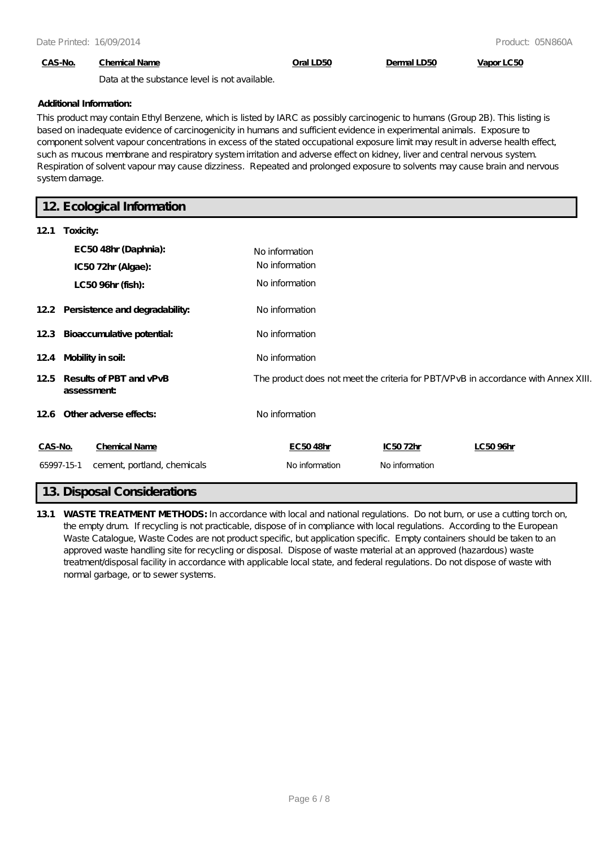### **CAS-No. Chemical Name Oral LD50 Dermal LD50 Vapor LC50**

Data at the substance level is not available.

#### **Additional Information:**

This product may contain Ethyl Benzene, which is listed by IARC as possibly carcinogenic to humans (Group 2B). This listing is based on inadequate evidence of carcinogenicity in humans and sufficient evidence in experimental animals. Exposure to component solvent vapour concentrations in excess of the stated occupational exposure limit may result in adverse health effect, such as mucous membrane and respiratory system irritation and adverse effect on kidney, liver and central nervous system. Respiration of solvent vapour may cause dizziness. Repeated and prolonged exposure to solvents may cause brain and nervous system damage.

### **12. Ecological Information**

| 121        | Toxicity:                             |                |                |                                                                                    |
|------------|---------------------------------------|----------------|----------------|------------------------------------------------------------------------------------|
|            | EC5048hr (Daphnia):                   | No information |                |                                                                                    |
|            | IC5072hr (Algae):                     | No information |                |                                                                                    |
|            | LC50 96hr (fish):                     | No information |                |                                                                                    |
|            | 122 Persistence and degradability:    | No information |                |                                                                                    |
|            | 12.3 Bioaccumulative potential:       | No information |                |                                                                                    |
| 12.4       | Mobility in soil:                     | No information |                |                                                                                    |
| 12.5       | Results of PBT and vPvB<br>assessment |                |                | The product does not meet the criteria for PBT NPvB in accordance with Annex XIII. |
|            | 126 Other adverse effects:            | No information |                |                                                                                    |
| CAS-No.    | <b>Chemical Name</b>                  | EC5048hr       | IC5072hr       | LC5096hr                                                                           |
| 65997-15-1 | cement, portland, chemicals           | No information | No information |                                                                                    |

### **13. Disposal Considerations**

**13.1 WASTE TREATMENT METHODS:** In accordance with local and national regulations. Do not burn, or use a cutting torch on, the empty drum. If recycling is not practicable, dispose of in compliance with local regulations. According to the European Waste Catalogue, Waste Codes are not product specific, but application specific. Empty containers should be taken to an approved waste handling site for recycling or disposal. Dispose of waste material at an approved (hazardous) waste treatment/disposal facility in accordance with applicable local state, and federal regulations. Do not dispose of waste with normal garbage, or to sewer systems.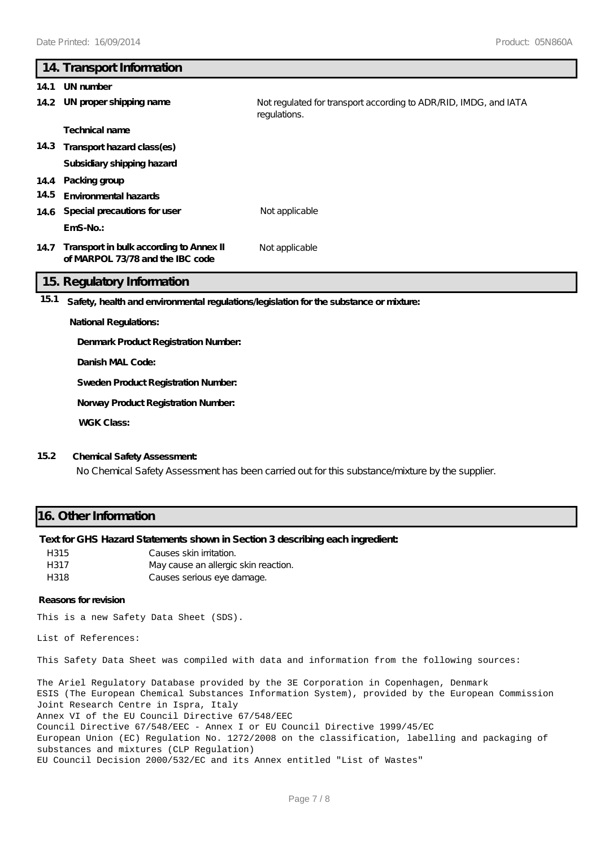# **14. Transport Information 14.1 UN number 14.2 UN proper shipping name** Not regulated for transport according to ADR/RID, IMDG, and IATA regulations. **Technical name 14.3 Transport hazard class(es) Subsidiary shipping hazard 14.4 Packing group 14.5 Environmental hazards 14.6 Special precautions for user** Not applicable **EmS-No.: Transport in bulk according to Annex II 14.7** Not applicable **of MARPOL 73/78 and the IBC code 15. Regulatory Information 15.1 Safety, health and environmental regulations/legislation for the substance or mixture: National Regulations: Denmark Product Registration Number:**

**Danish MAL Code:**

**Sweden Product Registration Number:**

**Norway Product Registration Number:**

**WGK Class:**

#### **15.2 Chemical Safety Assessment:**

No Chemical Safety Assessment has been carried out for this substance/mixture by the supplier.

### **16. Other Information**

### **Text for GHS Hazard Statements shown in Section 3 describing each ingredient:**

| H315 | Causes skin irritation.              |
|------|--------------------------------------|
| H317 | May cause an allergic skin reaction. |
| H318 | Causes serious eye damage.           |

#### **Reasons for revision**

This is a new Safety Data Sheet (SDS).

List of References:

This Safety Data Sheet was compiled with data and information from the following sources:

The Ariel Regulatory Database provided by the 3E Corporation in Copenhagen, Denmark ESIS (The European Chemical Substances Information System), provided by the European Commission Joint Research Centre in Ispra, Italy Annex VI of the EU Council Directive 67/548/EEC Council Directive 67/548/EEC - Annex I or EU Council Directive 1999/45/EC European Union (EC) Regulation No. 1272/2008 on the classification, labelling and packaging of substances and mixtures (CLP Regulation) EU Council Decision 2000/532/EC and its Annex entitled "List of Wastes"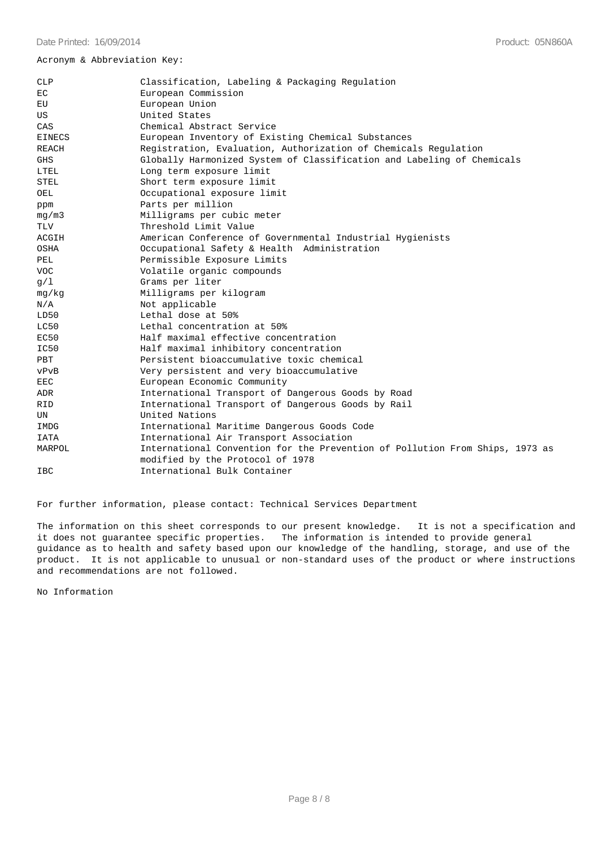#### Acronym & Abbreviation Key:

| CLP           | Classification, Labeling & Packaging Regulation                                                                  |
|---------------|------------------------------------------------------------------------------------------------------------------|
| EC            | European Commission                                                                                              |
| EU            | European Union                                                                                                   |
| US            | United States                                                                                                    |
| CAS           | Chemical Abstract Service                                                                                        |
| <b>EINECS</b> | European Inventory of Existing Chemical Substances                                                               |
| REACH         | Registration, Evaluation, Authorization of Chemicals Regulation                                                  |
| <b>GHS</b>    | Globally Harmonized System of Classification and Labeling of Chemicals                                           |
| LTEL          | Long term exposure limit                                                                                         |
| <b>STEL</b>   | Short term exposure limit                                                                                        |
| OEL           | Occupational exposure limit                                                                                      |
| ppm           | Parts per million                                                                                                |
| mq/m3         | Milligrams per cubic meter                                                                                       |
| TLV           | Threshold Limit Value                                                                                            |
| ACGIH         | American Conference of Governmental Industrial Hygienists                                                        |
| OSHA          | Occupational Safety & Health Administration                                                                      |
| PEL           | Permissible Exposure Limits                                                                                      |
| <b>VOC</b>    | Volatile organic compounds                                                                                       |
| g/1           | Grams per liter                                                                                                  |
| mq/kg         | Milligrams per kilogram                                                                                          |
| N/A           | Not applicable                                                                                                   |
| LD50          | Lethal dose at 50%                                                                                               |
| LC50          | Lethal concentration at 50%                                                                                      |
| EC50          | Half maximal effective concentration                                                                             |
| IC50          | Half maximal inhibitory concentration                                                                            |
| PBT           | Persistent bioaccumulative toxic chemical                                                                        |
| vPvB          | Very persistent and very bioaccumulative                                                                         |
| EEC           | European Economic Community                                                                                      |
| ADR           | International Transport of Dangerous Goods by Road                                                               |
| <b>RID</b>    | International Transport of Dangerous Goods by Rail                                                               |
| UN            | United Nations                                                                                                   |
| IMDG          | International Maritime Dangerous Goods Code                                                                      |
| IATA          | International Air Transport Association                                                                          |
| MARPOL        | International Convention for the Prevention of Pollution From Ships, 1973 as<br>modified by the Protocol of 1978 |
| IBC           | International Bulk Container                                                                                     |
|               |                                                                                                                  |

For further information, please contact: Technical Services Department

The information on this sheet corresponds to our present knowledge. It is not a specification and it does not guarantee specific properties. The information is intended to provide general guidance as to health and safety based upon our knowledge of the handling, storage, and use of the product. It is not applicable to unusual or non-standard uses of the product or where instructions and recommendations are not followed.

No Information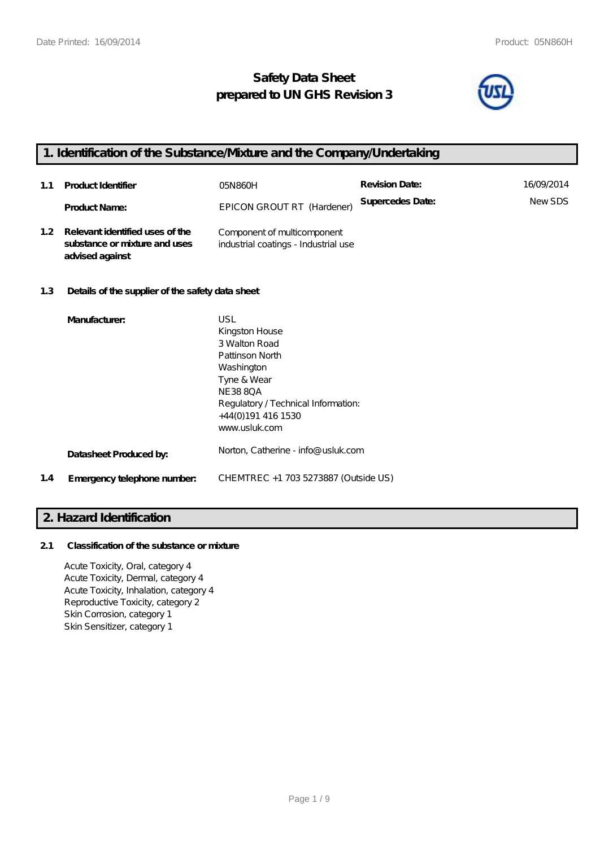## **Safety Data Sheet prepared to UN GHS Revision 3**



## **1. Identification of the Substance/Mixture and the Company/Undertaking**

| 1.1 | <b>Product Identifier</b>                                                               | 05N860H                                                             | <b>Revision Date:</b> | 16/09/2014    |
|-----|-----------------------------------------------------------------------------------------|---------------------------------------------------------------------|-----------------------|---------------|
|     | <b>Product Name:</b>                                                                    | EPICON GROUT RT (Hardener)                                          | Supercedes Date:      | <b>NewSDS</b> |
|     | 1.2 Relevant identified uses of the<br>substance or mixture and uses<br>advised against | Component of multicomponent<br>industrial coatings - Industrial use |                       |               |

### **1.3 Details of the supplier of the safety data sheet**

|     | Manufacturer:               | USL<br>Kingston House<br>3 Walton Road<br>Pattinson North<br>Washington<br>Tyne & Wear<br>NE 38 80 A<br>Regulatory / Technical Information: |
|-----|-----------------------------|---------------------------------------------------------------------------------------------------------------------------------------------|
|     |                             | +44(0)191 416 1530<br>www.usluk.com                                                                                                         |
|     | Datasheet Produced by:      | Norton, Catherine - info@ usluk.com                                                                                                         |
| 1.4 | Emergency telephone number. | CHEMTREC +1 703 5273887 (Outside US)                                                                                                        |

### **2. Hazard Identification**

### **2.1 Classification of the substance or mixture**

Acute Toxicity, Oral, category 4 Acute Toxicity, Dermal, category 4 Acute Toxicity, Inhalation, category 4 Reproductive Toxicity, category 2 Skin Corrosion, category 1 Skin Sensitizer, category 1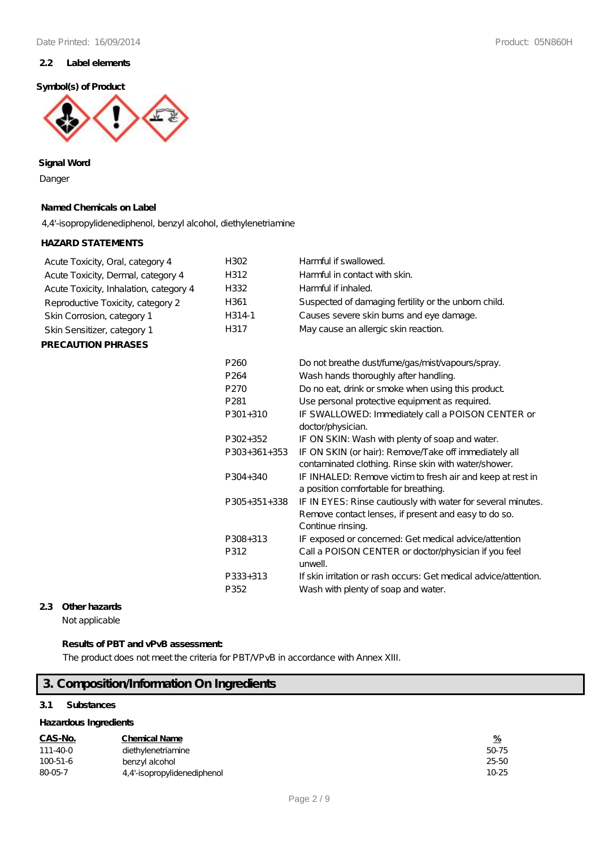#### **2.2 Label elements**

#### **Symbol(s) of Product**



**Signal Word**

Danger

### **Named Chemicals on Label**

4,4'-isopropylidenediphenol, benzyl alcohol, diethylenetriamine

### **HAZARD STATEMENTS**

| Acute Toxicity, Oral, category 4       | H302             | Harmful if swallowed.                                                                                                                     |
|----------------------------------------|------------------|-------------------------------------------------------------------------------------------------------------------------------------------|
| Acute Toxicity, Dermal, category 4     | H312             | Harmful in contact with skin.                                                                                                             |
| Acute Toxicity, Inhalation, category 4 | H332             | Harmful if inhaled.                                                                                                                       |
| Reproductive Toxicity, category 2      | H361             | Suspected of damaging fertility or the unborn child.                                                                                      |
| Skin Corrosion, category 1             | H314-1           | Causes severe skin burns and eye damage.                                                                                                  |
| Skin Sensitizer, category 1            | H317             | May cause an allergic skin reaction.                                                                                                      |
| <b>PRECAUTION PHRASES</b>              |                  |                                                                                                                                           |
|                                        | P <sub>260</sub> | Do not breathe dust/fume/gas/mist/vapours/spray.                                                                                          |
|                                        | P <sub>264</sub> | Wash hands thoroughly after handling.                                                                                                     |
|                                        | P270             | Do no eat, drink or smoke when using this product                                                                                         |
|                                        | P <sub>281</sub> | Use personal protective equipment as required.                                                                                            |
|                                        | $P301 + 310$     | IF SWALLOWED: Immediately call a POISON CENTER or                                                                                         |
|                                        |                  | doctor/physician.                                                                                                                         |
|                                        | P302+352         | IF ON SKIN: Wash with plenty of soap and water.                                                                                           |
|                                        | $P303+361+353$   | IF ON SKIN (or hair): Remove/Take off immediately all<br>contaminated clothing. Rinse skin with water/shower.                             |
|                                        | P304+340         | IF INHALED: Remove victim to fresh air and keep at rest in<br>a position comfortable for breathing.                                       |
|                                        | $P305+351+338$   | IF IN EYES: Rinse cautiously with water for several minutes.<br>Remove contact lenses, if present and easy to do so.<br>Continue rinsing. |
|                                        | P308+313         | IF exposed or concerned: Get medical advice /attention                                                                                    |
|                                        | P312             | Call a POISON CENTER or doctor/physician if you feel<br>unwell.                                                                           |
|                                        | P333+313         | If skin irritation or rash occurs: Get medical advice attention.                                                                          |
|                                        | P352             | Wash with plenty of soap and water.                                                                                                       |

#### **2.3 Other hazards**

Not applicable

### **Results of PBT and vPvB assessment:**

The product does not meet the criteria for PBT/VPvB in accordance with Annex XIII.

## **3. Composition/Information On Ingredients**

### **3.1 Substances**

| Hazardous Ingredients |                             |           |  |
|-----------------------|-----------------------------|-----------|--|
| CAS-No.               | <b>Chemical Name</b>        | %         |  |
| 111-40-0              | diethylenetriamine          | 50-75     |  |
| $100 - 51 - 6$        | benzyl alcohol              | 25-50     |  |
| 80-05-7               | 4,4'-isopropylidenediphenol | $10 - 25$ |  |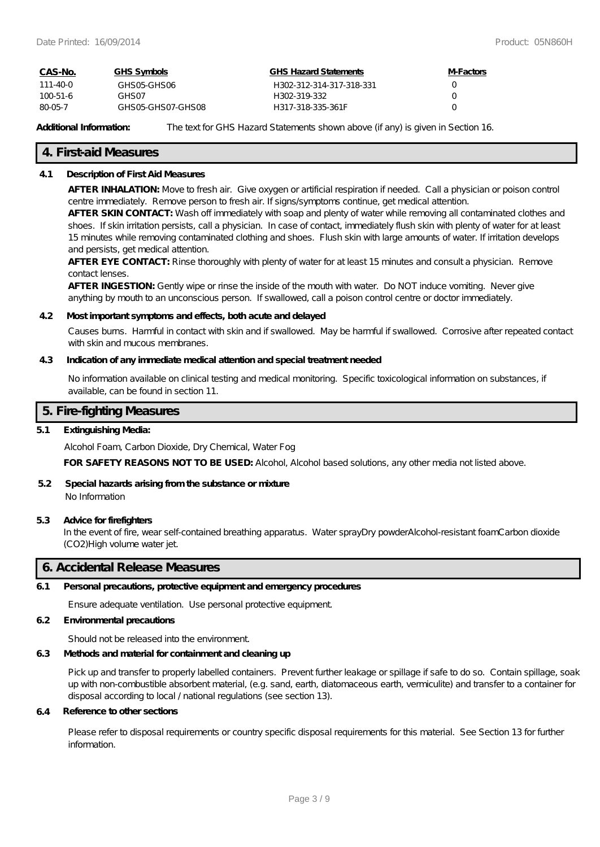| CAS-No.        | GHS Symbols       | GHS Hazard Statements    | M-Factors        |
|----------------|-------------------|--------------------------|------------------|
| 111-40-0       | GHSO5-GHSO6       | H302-312-314-317-318-331 | $\cup$           |
| $100 - 51 - 6$ | GHS 07            | H302-319-332             | $\left( \right)$ |
| 80-05-7        | GHSO5-GHSO7-GHSO8 | H317-318-335-361F        |                  |

Additional Information: The text for GHS Hazard Statements shown above (if any) is given in Section 16.

### **4. First-aid Measures**

#### **4.1 Description of First Aid Measures**

**AFTER INHALATION:** Move to fresh air. Give oxygen or artificial respiration if needed. Call a physician or poison control centre immediately. Remove person to fresh air. If signs/symptoms continue, get medical attention.

**AFTER SKIN CONTACT:** Wash off immediately with soap and plenty of water while removing all contaminated clothes and shoes. If skin irritation persists, call a physician. In case of contact, immediately flush skin with plenty of water for at least 15 minutes while removing contaminated clothing and shoes. Flush skin with large amounts of water. If irritation develops and persists, get medical attention.

**AFTER EYE CONTACT:** Rinse thoroughly with plenty of water for at least 15 minutes and consult a physician. Remove contact lenses.

**AFTER INGESTION:** Gently wipe or rinse the inside of the mouth with water. Do NOT induce vomiting. Never give anything by mouth to an unconscious person. If swallowed, call a poison control centre or doctor immediately.

#### **4.2 Most important symptoms and effects, both acute and delayed**

Causes burns. Harmful in contact with skin and if swallowed. May be harmful if swallowed. Corrosive after repeated contact with skin and mucous membranes.

#### **4.3 Indication of any immediate medical attention and special treatment needed**

No information available on clinical testing and medical monitoring. Specific toxicological information on substances, if available, can be found in section 11.

#### **5. Fire-fighting Measures**

#### **5.1 Extinguishing Media:**

Alcohol Foam, Carbon Dioxide, Dry Chemical, Water Fog

**FOR SAFETY REASONS NOT TO BE USED:** Alcohol, Alcohol based solutions, any other media not listed above.

#### **5.2 Special hazards arising from the substance or mixture** No Information

#### **5.3 Advice for firefighters**

In the event of fire, wear self-contained breathing apparatus. Water sprayDry powderAlcohol-resistant foamCarbon dioxide (CO2)High volume water jet.

### **6. Accidental Release Measures**

#### **6.1 Personal precautions, protective equipment and emergency procedures**

Ensure adequate ventilation. Use personal protective equipment.

#### **6.2 Environmental precautions**

Should not be released into the environment.

#### **6.3 Methods and material for containment and cleaning up**

Pick up and transfer to properly labelled containers. Prevent further leakage or spillage if safe to do so. Contain spillage, soak up with non-combustible absorbent material, (e.g. sand, earth, diatomaceous earth, vermiculite) and transfer to a container for disposal according to local / national regulations (see section 13).

#### **6.4 Reference to other sections**

Please refer to disposal requirements or country specific disposal requirements for this material. See Section 13 for further information.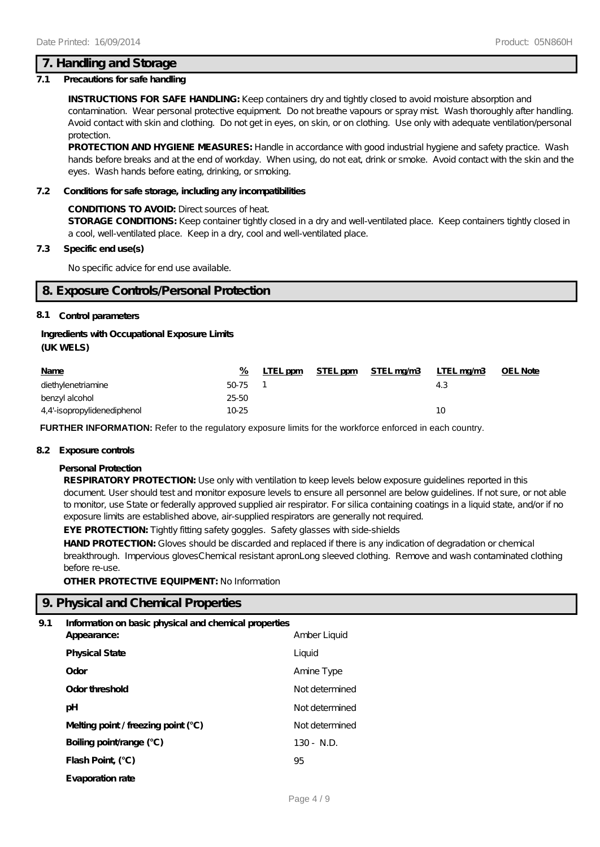### **7. Handling and Storage**

#### **7.1 Precautions for safe handling**

**INSTRUCTIONS FOR SAFE HANDLING:** Keep containers dry and tightly closed to avoid moisture absorption and contamination. Wear personal protective equipment. Do not breathe vapours or spray mist. Wash thoroughly after handling. Avoid contact with skin and clothing. Do not get in eyes, on skin, or on clothing. Use only with adequate ventilation/personal protection.

**PROTECTION AND HYGIENE MEASURES:** Handle in accordance with good industrial hygiene and safety practice. Wash hands before breaks and at the end of workday. When using, do not eat, drink or smoke. Avoid contact with the skin and the eyes. Wash hands before eating, drinking, or smoking.

#### **7.2 Conditions for safe storage, including any incompatibilities**

#### **CONDITIONS TO AVOID:** Direct sources of heat.

**STORAGE CONDITIONS:** Keep container tightly closed in a dry and well-ventilated place. Keep containers tightly closed in a cool, well-ventilated place. Keep in a dry, cool and well-ventilated place.

#### **7.3 Specific end use(s)**

No specific advice for end use available.

### **8. Exposure Controls/Personal Protection**

#### **8.1 Control parameters**

#### **Ingredients with Occupational Exposure Limits**

#### **(UK WELS)**

| <b>Name</b>                 | %       | LTEL ppm | STEL ppm STEL mg/m3 | LTEL mg/m3 | <b>OEL Note</b> |
|-----------------------------|---------|----------|---------------------|------------|-----------------|
| diethylenetriamine          | 50-75 1 |          |                     | 4.3        |                 |
| benzyl alcohol              | 25-50   |          |                     |            |                 |
| 4,4'-isopropylidenediphenol | 10-25   |          |                     | 10         |                 |

**FURTHER INFORMATION:** Refer to the regulatory exposure limits for the workforce enforced in each country.

#### **8.2 Exposure controls**

#### **Personal Protection**

**RESPIRATORY PROTECTION:** Use only with ventilation to keep levels below exposure guidelines reported in this document. User should test and monitor exposure levels to ensure all personnel are below guidelines. If not sure, or not able to monitor, use State or federally approved supplied air respirator. For silica containing coatings in a liquid state, and/or if no exposure limits are established above, air-supplied respirators are generally not required.

**EYE PROTECTION:** Tightly fitting safety goggles. Safety glasses with side-shields

HAND PROTECTION: Gloves should be discarded and replaced if there is any indication of degradation or chemical breakthrough. Impervious glovesChemical resistant apronLong sleeved clothing. Remove and wash contaminated clothing before re-use.

**OTHER PROTECTIVE EQUIPMENT: No Information** 

### **9. Physical and Chemical Properties**

#### **9.1 Information on basic physical and chemical properties**

| Appearance:                           | Amber Liquid   |
|---------------------------------------|----------------|
| <b>Physical State</b>                 | Liquid         |
| Odor                                  | Amine Type     |
| Odor threshold                        | Not determined |
| рH                                    | Not determined |
| Melting point / freezing point $(°C)$ | Not determined |
| Boiling point/range (°C)              | $130 - N.D.$   |
| Flash Point (°C)                      | 95             |
| Evaporation rate                      |                |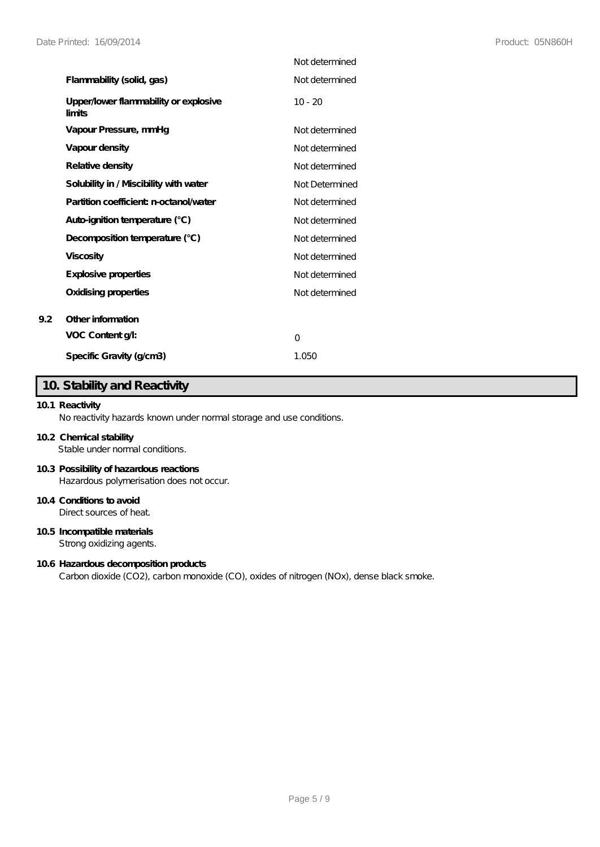|                                                 | Not determined |
|-------------------------------------------------|----------------|
| Flammability (solid, gas)                       | Not determined |
| Upper/lower flammability or explosive<br>limits | $10 - 20$      |
| Vapour Pressure, mmHg                           | Not determined |
| Vapour density                                  | Not determined |
| Relative density                                | Not determined |
| Solubility in / Miscibility with water          | Not Determined |
| Partition coefficient n-octanol/water           | Not determined |
| Auto-ignition temperature (°C)                  | Not determined |
| Decomposition temperature (°C)                  | Not determined |
| <b>Viscosity</b>                                | Not determined |
| Explosive properties                            | Not determined |
| Oxidising properties                            | Not determined |
| Other information                               |                |
| VOC Content g/l:                                | $\Omega$       |
| Specific Gravity (g/cm3)                        | 1.050          |

## **10. Stability and Reactivity**

### **10.1 Reactivity**

**9.2 Other information**

No reactivity hazards known under normal storage and use conditions.

### **10.2 Chemical stability**

Stable under normal conditions.

#### **10.3 Possibility of hazardous reactions**

Hazardous polymerisation does not occur.

### **10.4 Conditions to avoid**

Direct sources of heat.

### **10.5 Incompatible materials**

Strong oxidizing agents.

#### **10.6 Hazardous decomposition products**

Carbon dioxide (CO2), carbon monoxide (CO), oxides of nitrogen (NOx), dense black smoke.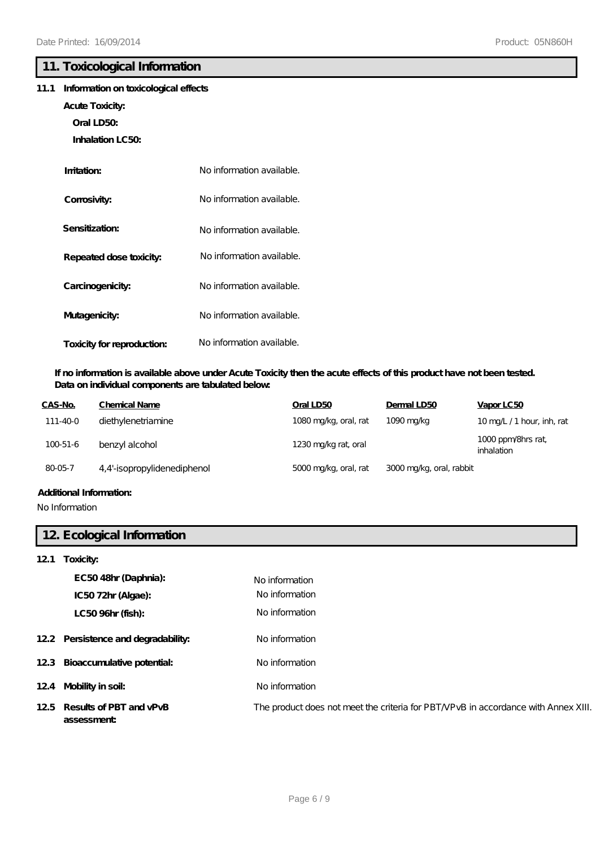### **11. Toxicological Information**

### **11.1 Information on toxicological effects**

- **Acute Toxicity:**
	- **Oral LD50:**
	- **Inhalation LC50:**

| Imitation:                 | No information available. |
|----------------------------|---------------------------|
| Corrosivity:               | No information available. |
| Sensitization:             | No information available. |
| Repeated dose toxicity:    | No information available. |
| Carcinogenicity:           | No information available. |
| Mutagenicity:              | No information available. |
| Toxicity for reproduction: | No information available. |

### **If no information is available above under Acute Toxicity then the acute effects of this product have not been tested. Data on individual components are tabulated below:**

| CAS-No.        | Chemical Name               | Oral LD50             | Dermal LD50              | Vapor LC50                       |
|----------------|-----------------------------|-----------------------|--------------------------|----------------------------------|
| 111-40-0       | diethylenetriamine          | 1080 mg/kg, oral, rat | 1090 mg/kg               | 10 mg/L /1 hour, inh, rat        |
| $100 - 51 - 6$ | benzyl alcohol              | 1230 mg/kg rat, oral  |                          | 1000 ppm/8hrs rat,<br>inhalation |
| 80-05-7        | 4,4'-isopropylidenediphenol | 5000 mg/kg, oral, rat | 3000 mg/kg, oral, rabbit |                                  |
|                |                             |                       |                          |                                  |

### **Additional Information:**

No Information

### **12. Ecological Information**

### **12.1 Toxicity:**

| EC5048hr (Daphnia):<br>IC5072hr (Algae):  | No information<br>No information                                                   |
|-------------------------------------------|------------------------------------------------------------------------------------|
| LC50 96hr (fish):                         | No information                                                                     |
| 12.2 Persistence and degradability:       | No information                                                                     |
| 12.3 Bioaccumulative potential:           | No information                                                                     |
| 124 Mobility in soil:                     | No information                                                                     |
| 125 Results of PBT and vPvB<br>assessment | The product does not meet the criteria for PBT/VPvB in accordance with Annex XIII. |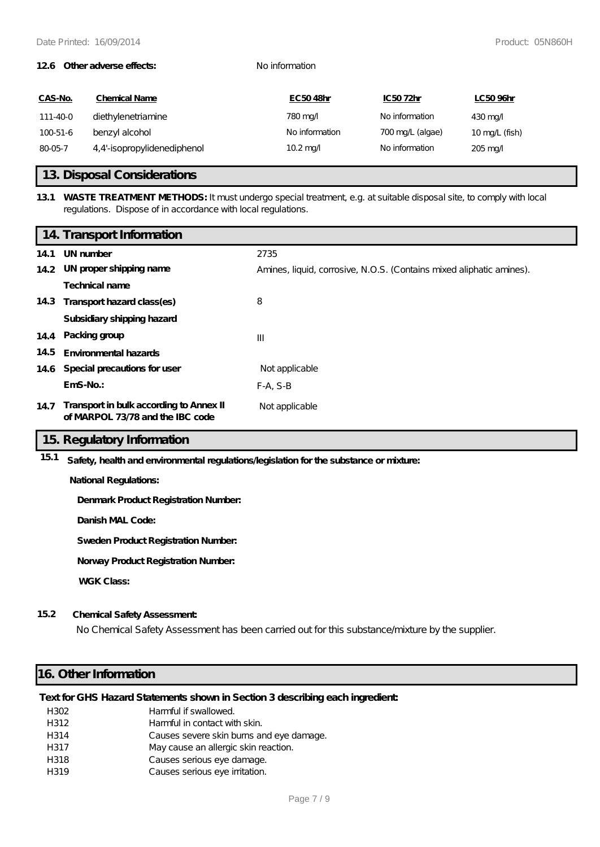#### **12.6 Other adverse effects:** No information

| CAS-No.  | <b>Chemical Name</b>        | EC5048hr           | IC5072hr         | LC5096hr                 |
|----------|-----------------------------|--------------------|------------------|--------------------------|
| 111-40-0 | diethylenetriamine          | 780 mg/            | No information   | $430 \,\mathrm{mag}$     |
| 100-51-6 | benzyl alcohol              | No information     | 700 mg/L (algae) | $10 \text{ mg/L}$ (fish) |
| 80-05-7  | 4,4'-isopropylidenediphenol | $10.2 \text{ mag}$ | No information   | $205 \,\mathrm{mag}$     |

### **13. Disposal Considerations**

### **13.1 WASTE TREATMENT METHODS:** It must undergo special treatment, e.g. at suitable disposal site, to comply with local regulations. Dispose of in accordance with local regulations.

|      | 14. Transport Information                                                   |                                                                      |
|------|-----------------------------------------------------------------------------|----------------------------------------------------------------------|
| 14.1 | UN number                                                                   | 2735                                                                 |
|      | 14.2 UN proper shipping name                                                | Amines, liquid, corrosive, N.O.S. (Contains mixed aliphatic amines). |
|      | Technical name                                                              |                                                                      |
| 14.3 | Transport hazard class(es)                                                  | 8                                                                    |
|      | Subsidiary shipping hazard                                                  |                                                                      |
|      | 14.4 Packing group                                                          | $\mathbf{III}$                                                       |
| 14.5 | <b>Environmental hazards</b>                                                |                                                                      |
| 14.6 | Special precautions for user                                                | Not applicable                                                       |
|      | $EmS-No.$ :                                                                 | $F-A, S-B$                                                           |
| 14.7 | Transport in bulk according to Annex II<br>of MARPOL 73/78 and the IBC code | Not applicable                                                       |

### **15. Regulatory Information**

**15.1 Safety, health and environmental regulations/legislation for the substance or mixture:**

**National Regulations:**

**Denmark Product Registration Number:**

**Danish MAL Code:**

**Sweden Product Registration Number:**

**Norway Product Registration Number:**

**WGK Class:**

### **15.2 Chemical Safety Assessment:**

No Chemical Safety Assessment has been carried out for this substance/mixture by the supplier.

### **16. Other Information**

### **Text for GHS Hazard Statements shown in Section 3 describing each ingredient:**

| H302 | Harmful if swallowed.                    |
|------|------------------------------------------|
| H312 | Harmful in contact with skin.            |
| H314 | Causes severe skin burns and eye damage. |
| H317 | May cause an allergic skin reaction.     |
| H318 | Causes serious eye damage.               |
| H319 | Causes serious eye irritation.           |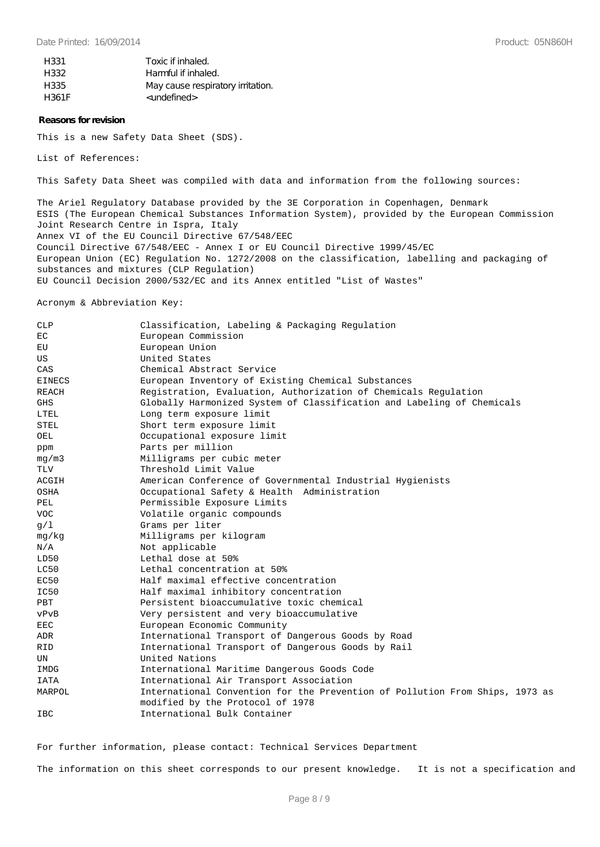| H331  | Toxic if inhaled.                 |
|-------|-----------------------------------|
| H332  | Harmful if inhaled.               |
| H335  | May cause respiratory irritation. |
| H361F | <undefined></undefined>           |

#### **Reasons for revision**

This is a new Safety Data Sheet (SDS).

List of References:

This Safety Data Sheet was compiled with data and information from the following sources:

The Ariel Regulatory Database provided by the 3E Corporation in Copenhagen, Denmark ESIS (The European Chemical Substances Information System), provided by the European Commission Joint Research Centre in Ispra, Italy Annex VI of the EU Council Directive 67/548/EEC Council Directive 67/548/EEC - Annex I or EU Council Directive 1999/45/EC European Union (EC) Regulation No. 1272/2008 on the classification, labelling and packaging of substances and mixtures (CLP Regulation) EU Council Decision 2000/532/EC and its Annex entitled "List of Wastes"

Acronym & Abbreviation Key:

| CLP           | Classification, Labeling & Packaging Regulation                              |  |
|---------------|------------------------------------------------------------------------------|--|
| EC            | European Commission                                                          |  |
| EU            | European Union                                                               |  |
| US            | United States                                                                |  |
| CAS           | Chemical Abstract Service                                                    |  |
| <b>EINECS</b> | European Inventory of Existing Chemical Substances                           |  |
| <b>REACH</b>  | Registration, Evaluation, Authorization of Chemicals Regulation              |  |
| <b>GHS</b>    | Globally Harmonized System of Classification and Labeling of Chemicals       |  |
| LTEL          | Long term exposure limit                                                     |  |
| <b>STEL</b>   | Short term exposure limit                                                    |  |
| OEL           | Occupational exposure limit                                                  |  |
| ppm           | Parts per million                                                            |  |
| mq/m3         | Milligrams per cubic meter                                                   |  |
| TLV           | Threshold Limit Value                                                        |  |
| ACGIH         | American Conference of Governmental Industrial Hygienists                    |  |
| OSHA          | Occupational Safety & Health Administration                                  |  |
| PEL           | Permissible Exposure Limits                                                  |  |
| <b>VOC</b>    | Volatile organic compounds                                                   |  |
| q/1           | Grams per liter                                                              |  |
| mg/kg         | Milligrams per kilogram                                                      |  |
| N/A           | Not applicable                                                               |  |
| LD50          | Lethal dose at 50%                                                           |  |
| LC50          | Lethal concentration at 50%                                                  |  |
| EC50          | Half maximal effective concentration                                         |  |
| IC50          | Half maximal inhibitory concentration                                        |  |
| PBT           | Persistent bioaccumulative toxic chemical                                    |  |
| vPvB          | Very persistent and very bioaccumulative                                     |  |
| <b>EEC</b>    | European Economic Community                                                  |  |
| ADR           | International Transport of Dangerous Goods by Road                           |  |
| <b>RID</b>    | International Transport of Dangerous Goods by Rail                           |  |
| UN            | United Nations                                                               |  |
| IMDG          | International Maritime Dangerous Goods Code                                  |  |
| <b>IATA</b>   | International Air Transport Association                                      |  |
| MARPOL        | International Convention for the Prevention of Pollution From Ships, 1973 as |  |
|               | modified by the Protocol of 1978                                             |  |
| <b>IBC</b>    | International Bulk Container                                                 |  |

For further information, please contact: Technical Services Department

The information on this sheet corresponds to our present knowledge. It is not a specification and